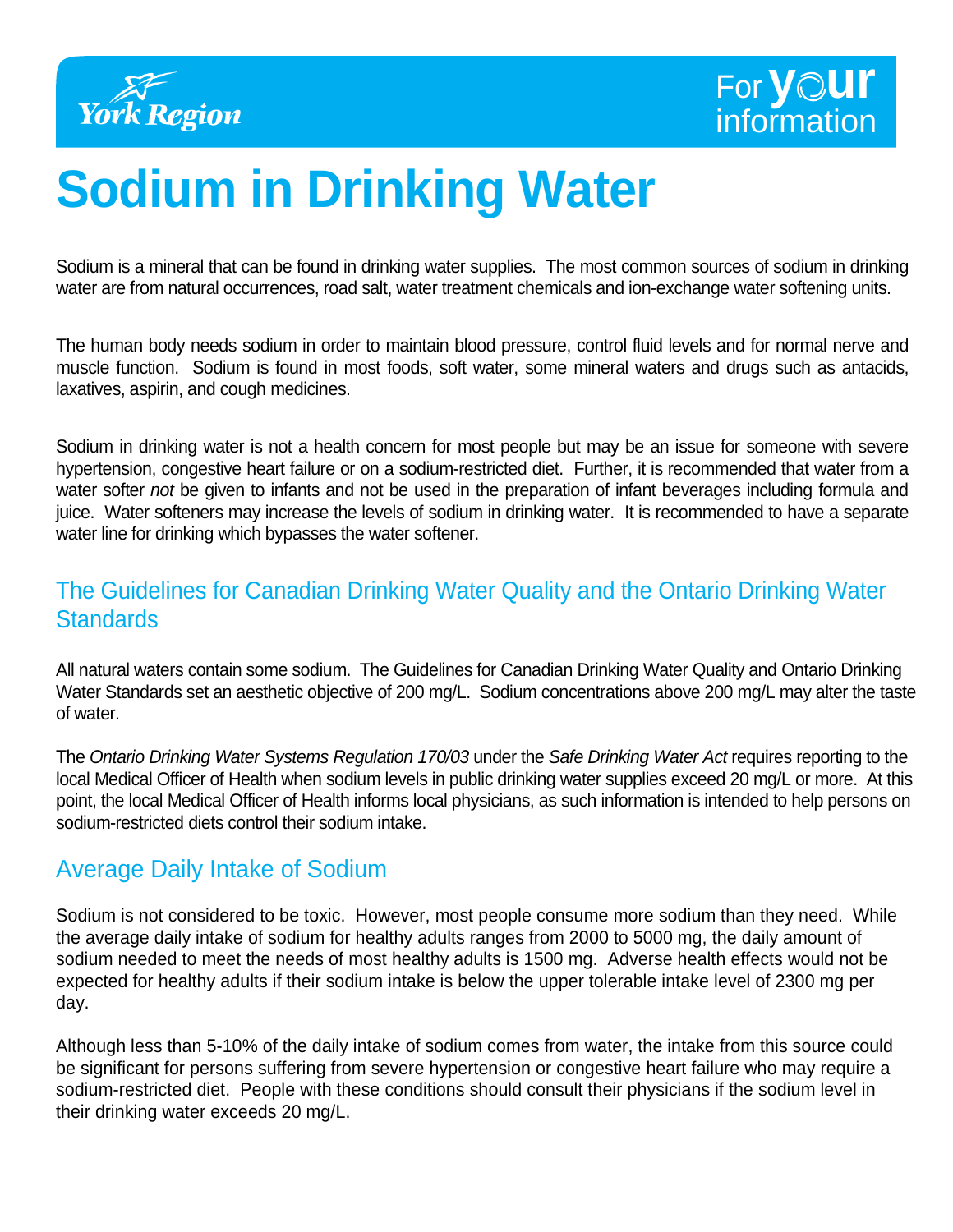



# **Sodium in Drinking Water**

Sodium is a mineral that can be found in drinking water supplies. The most common sources of sodium in drinking water are from natural occurrences, road salt, water treatment chemicals and ion-exchange water softening units.

The human body needs sodium in order to maintain blood pressure, control fluid levels and for normal nerve and muscle function. Sodium is found in most foods, soft water, some mineral waters and drugs such as antacids, laxatives, aspirin, and cough medicines.

Sodium in drinking water is not a health concern for most people but may be an issue for someone with severe hypertension, congestive heart failure or on a sodium-restricted diet. Further, it is recommended that water from a water softer *not* be given to infants and not be used in the preparation of infant beverages including formula and juice. Water softeners may increase the levels of sodium in drinking water. It is recommended to have a separate water line for drinking which bypasses the water softener.

### The Guidelines for Canadian Drinking Water Quality and the Ontario Drinking Water **Standards**

All natural waters contain some sodium. The Guidelines for Canadian Drinking Water Quality and Ontario Drinking Water Standards set an aesthetic objective of 200 mg/L. Sodium concentrations above 200 mg/L may alter the taste of water.

The *Ontario Drinking Water Systems Regulation 170/03* under the *Safe Drinking Water Act* requires reporting to the local Medical Officer of Health when sodium levels in public drinking water supplies exceed 20 mg/L or more. At this point, the local Medical Officer of Health informs local physicians, as such information is intended to help persons on sodium-restricted diets control their sodium intake.

#### Average Daily Intake of Sodium

Sodium is not considered to be toxic. However, most people consume more sodium than they need. While the average daily intake of sodium for healthy adults ranges from 2000 to 5000 mg, the daily amount of sodium needed to meet the needs of most healthy adults is 1500 mg. Adverse health effects would not be expected for healthy adults if their sodium intake is below the upper tolerable intake level of 2300 mg per day.

Although less than 5-10% of the daily intake of sodium comes from water, the intake from this source could be significant for persons suffering from severe hypertension or congestive heart failure who may require a sodium-restricted diet. People with these conditions should consult their physicians if the sodium level in their drinking water exceeds 20 mg/L.